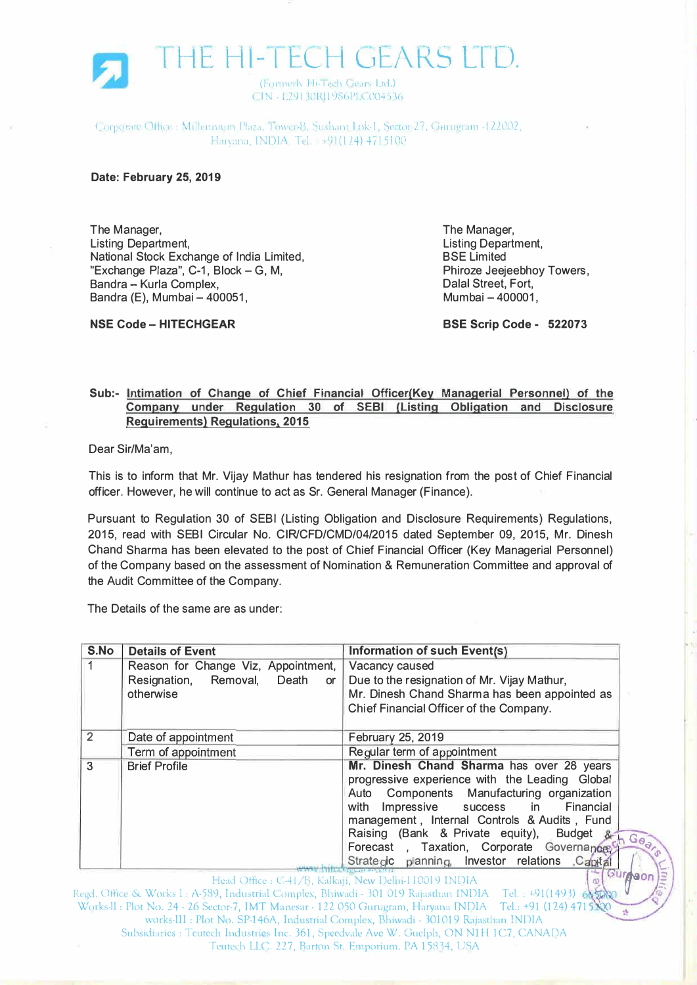

Corporate Office : Millennium Plaza, Tower B, Sushant Lok-L, Sector 27, Gurugram -1 22002, Harvana, INDIA, Tel.: 01(124) 4715100

## **Date: February 25, 2019**

**NSE Code - HITECHGEAR** 

The Manager, Listing Department, National Stock Exchange of India Limited, "Exchange Plaza", C-1, Block- G, M, Bandra - Kurla Complex, Bandra (E), Mumbai - 400051,

The Manager, Listing Department, BSE Limited Phiroze Jeejeebhoy Towers, Dalal Street, Fort, Mumbai - 400001,

**BSE Scrip Code - 522073** 

, .

## **Sub:- Intimation of Change of Chief Financial Officer(Key Managerial Personnel) of the Company under Regulation 30 of SEBI (Listing Obligation and Disclosure Requirements) Regulations, 2015**

Dear Sir/Ma'am,

This is to inform that Mr. Vijay Mathur has tendered his resignation from the post of Chief Financial officer. However, he will continue to act as Sr. General Manager (Finance).

Pursuant to Regulation 30 of SEBI (Listing Obligation and Disclosure Requirements) Regulations, 2015, read with SEBI Circular No. CIR/CFD/CMD/04/2015 dated September 09, 2015, Mr. Dinesh Chand Sharma has been elevated to the post of Chief Financial Officer (Key Managerial Personnel) of the Company based on the assessment of Nomination & Remuneration Committee and approval of the Audit Committee of the Company.

The Details of the same are as under:

| S.No | <b>Details of Event</b>                | Information of such Event(s)                                                                                  |
|------|----------------------------------------|---------------------------------------------------------------------------------------------------------------|
|      | Reason for Change Viz, Appointment,    | Vacancy caused                                                                                                |
|      | Resignation, Removal,<br>Death<br>or 1 | Due to the resignation of Mr. Vijay Mathur,                                                                   |
|      | otherwise                              | Mr. Dinesh Chand Sharma has been appointed as                                                                 |
|      |                                        | Chief Financial Officer of the Company.                                                                       |
| 2    | Date of appointment                    | February 25, 2019                                                                                             |
|      | Term of appointment                    | Regular term of appointment                                                                                   |
| 3    | <b>Brief Profile</b>                   | Mr. Dinesh Chand Sharma has over 28 years                                                                     |
|      |                                        | progressive experience with the Leading Global                                                                |
|      |                                        | Auto Components Manufacturing organization                                                                    |
|      |                                        | Impressive<br>with<br>Financial<br>success in                                                                 |
|      |                                        | management, Internal Controls & Audits, Fund                                                                  |
|      |                                        | Raising (Bank & Private equity), Budget &<br>$G_{\theta_{\alpha}}$                                            |
|      |                                        | Forecast, Taxation, Corporate Governance,                                                                     |
|      |                                        | Strategic planning, Investor relations Capital                                                                |
|      |                                        | Gurnson<br>Head Office: C-41/B, Kalkaji, New Delhi-110019 INDIA                                               |
|      |                                        | Reed, Office & Works L: A-589, Industrial Complex, Bhiwadi - 301 019 Rajasthan INDIA - Tel. : +91(1493) 66588 |

Works-II: Plot No. 24 - 26 Sector-7, IMT Manesar - 122 050 Gurugram, Haryana INDIA Tel.: +91 (124) 4715. works-III : Plot No. SP-l 46A, Industrial Complex, Bhiwadi - 301019 Rajasthan INDIA Subsidiaries: Teutech Industries Inc. 361, Speedvalc Ave W. Guelph, ON NlH 1C7, CANADA Tcurcch LLC. 227, Barron St. Emporium. PA 15814, USA